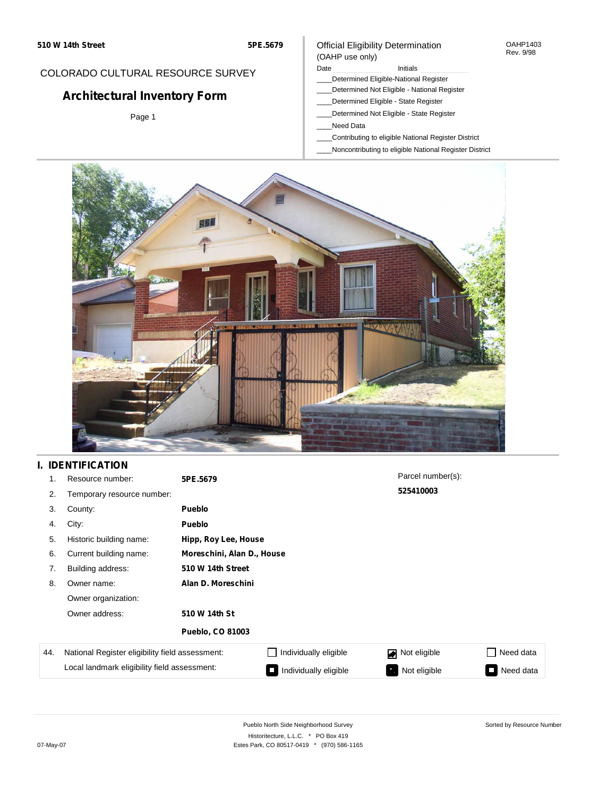#### OAHP1403 Rev. 9/98

### COLORADO CULTURAL RESOURCE SURVEY

# **Architectural Inventory Form**

Page 1

### (OAHP use only) Date **Initials** Initials

Official Eligibility Determination

- \_\_\_\_Determined Eligible-National Register
- \_\_\_\_Determined Not Eligible National Register
- \_\_\_\_Determined Eligible State Register
- \_\_\_\_Determined Not Eligible State Register
- \_\_\_\_Need Data
- \_\_\_\_Contributing to eligible National Register District
- \_\_\_\_Noncontributing to eligible National Register District



## **I. IDENTIFICATION**

| 1.  | Resource number:                                | 5PE.5679                   |                       | Parcel number(s): |                  |
|-----|-------------------------------------------------|----------------------------|-----------------------|-------------------|------------------|
| 2.  | Temporary resource number:                      | 525410003                  |                       |                   |                  |
| 3.  | County:                                         | <b>Pueblo</b>              |                       |                   |                  |
| 4.  | City:                                           | <b>Pueblo</b>              |                       |                   |                  |
| 5.  | Historic building name:                         | Hipp, Roy Lee, House       |                       |                   |                  |
| 6.  | Current building name:                          | Moreschini, Alan D., House |                       |                   |                  |
| 7.  | Building address:                               | 510 W 14th Street          |                       |                   |                  |
| 8.  | Owner name:                                     | Alan D. Moreschini         |                       |                   |                  |
|     | Owner organization:                             |                            |                       |                   |                  |
|     | Owner address:                                  | 510 W 14th St              |                       |                   |                  |
|     |                                                 | <b>Pueblo, CO 81003</b>    |                       |                   |                  |
| 44. | National Register eligibility field assessment: |                            | Individually eligible | Not eligible      | $\Box$ Need data |
|     | Local landmark eligibility field assessment:    |                            | Individually eligible | Not eligible      | Need data<br>I.  |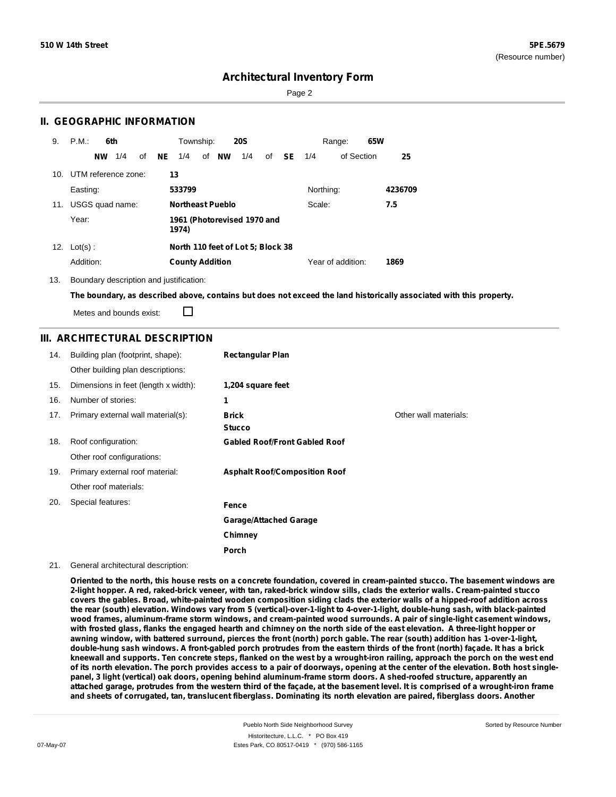Page 2

### **II. GEOGRAPHIC INFORMATION**

| 9.  | P.M.<br>6th            | Township:<br><b>20S</b>                | 65W<br>Range:             |  |
|-----|------------------------|----------------------------------------|---------------------------|--|
|     | 1/4<br>of<br><b>NW</b> | of NW<br>NE<br>1/4<br>1/4<br>of<br>SE. | of Section<br>1/4<br>25   |  |
| 10. | UTM reference zone:    | 13                                     |                           |  |
|     | Easting:               | 533799                                 | Northing:<br>4236709      |  |
| 11. | USGS quad name:        | <b>Northeast Pueblo</b>                | Scale:<br>7.5             |  |
|     | Year:                  | 1961 (Photorevised 1970 and<br>1974)   |                           |  |
| 12. | $Lot(s)$ :             | North 110 feet of Lot 5; Block 38      |                           |  |
|     | Addition:              | <b>County Addition</b>                 | Year of addition:<br>1869 |  |

13. Boundary description and justification:

The boundary, as described above, contains but does not exceed the land historically associated with this property.

Metes and bounds exist:

П

### **III. ARCHITECTURAL DESCRIPTION**

| 14. | Building plan (footprint, shape):    | <b>Rectangular Plan</b>              |                       |
|-----|--------------------------------------|--------------------------------------|-----------------------|
|     | Other building plan descriptions:    |                                      |                       |
| 15. | Dimensions in feet (length x width): | 1,204 square feet                    |                       |
| 16. | Number of stories:                   | 1                                    |                       |
| 17. | Primary external wall material(s):   | <b>Brick</b><br><b>Stucco</b>        | Other wall materials: |
| 18. | Roof configuration:                  | <b>Gabled Roof/Front Gabled Roof</b> |                       |
|     | Other roof configurations:           |                                      |                       |
| 19. | Primary external roof material:      | <b>Asphalt Roof/Composition Roof</b> |                       |
|     | Other roof materials:                |                                      |                       |
| 20. | Special features:                    | Fence                                |                       |
|     |                                      | <b>Garage/Attached Garage</b>        |                       |
|     |                                      | Chimney                              |                       |
|     |                                      | Porch                                |                       |

#### 21. General architectural description:

Oriented to the north, this house rests on a concrete foundation, covered in cream-painted stucco. The basement windows are 2-light hopper. A red, raked-brick veneer, with tan, raked-brick window sills, clads the exterior walls. Cream-painted stucco covers the gables. Broad, white-painted wooden composition siding clads the exterior walls of a hipped-roof addition across the rear (south) elevation. Windows vary from 5 (vertical)-over-1-light to 4-over-1-light, double-hung sash, with black-painted **wood frames, aluminum-frame storm windows, and cream-painted wood surrounds. A pair of single-light casement windows,** with frosted glass, flanks the engaged hearth and chimney on the north side of the east elevation. A three-light hopper or awning window, with battered surround, pierces the front (north) porch gable. The rear (south) addition has 1-over-1-light, double-hung sash windows. A front-gabled porch protrudes from the eastern thirds of the front (north) façade. It has a brick kneewall and supports. Ten concrete steps, flanked on the west by a wrought-iron railing, approach the porch on the west end of its north elevation. The porch provides access to a pair of doorways, opening at the center of the elevation. Both host singlepanel, 3 light (vertical) oak doors, opening behind aluminum-frame storm doors. A shed-roofed structure, apparently an attached garage, protrudes from the western third of the façade, at the basement level. It is comprised of a wrought-iron frame and sheets of corrugated, tan, translucent fiberglass. Dominating its north elevation are paired, fiberglass doors. Another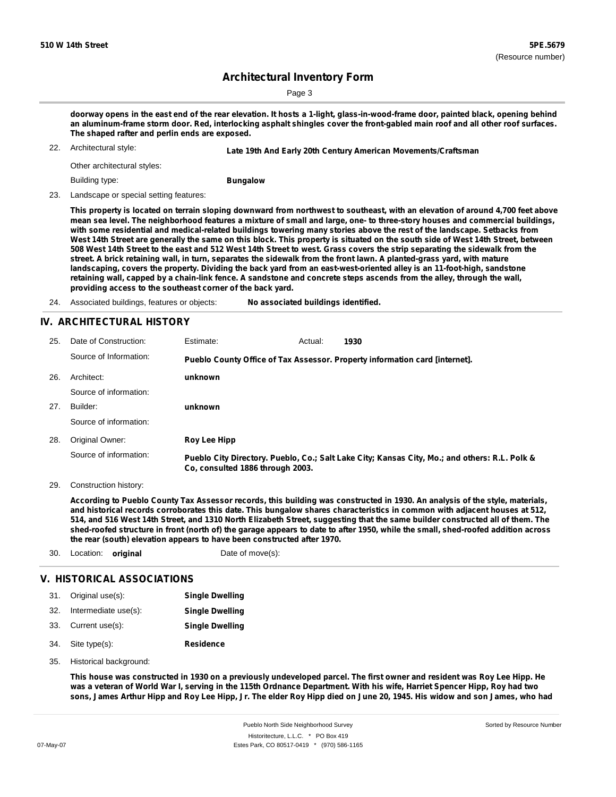Page 3

doorway opens in the east end of the rear elevation. It hosts a 1-light, glass-in-wood-frame door, painted black, opening behind an aluminum-frame storm door. Red, interlocking asphalt shingles cover the front-gabled main roof and all other roof surfaces. **The shaped rafter and perlin ends are exposed.**

22. Architectural style: **Late 19th And Early 20th Century American Movements/Craftsman**

Other architectural styles:

Building type:

**Bungalow**

23. Landscape or special setting features:

This property is located on terrain sloping downward from northwest to southeast, with an elevation of around 4,700 feet above mean sea level. The neighborhood features a mixture of small and large, one- to three-story houses and commercial buildings, with some residential and medical-related buildings towering many stories above the rest of the landscape. Setbacks from West 14th Street are generally the same on this block. This property is situated on the south side of West 14th Street, between 508 West 14th Street to the east and 512 West 14th Street to west. Grass covers the strip separating the sidewalk from the street. A brick retaining wall, in turn, separates the sidewalk from the front lawn. A planted-grass yard, with mature landscaping, covers the property. Dividing the back yard from an east-west-oriented alley is an 11-foot-high, sandstone retaining wall, capped by a chain-link fence. A sandstone and concrete steps ascends from the alley, through the wall, **providing access to the southeast corner of the back yard.**

24. Associated buildings, features or objects: **No associated buildings identified.**

### **IV. ARCHITECTURAL HISTORY**

| 25. | Date of Construction:  | Estimate:                        | Actual: | 1930                                                                                          |
|-----|------------------------|----------------------------------|---------|-----------------------------------------------------------------------------------------------|
|     | Source of Information: |                                  |         | Pueblo County Office of Tax Assessor. Property information card [internet].                   |
| 26. | Architect:             | unknown                          |         |                                                                                               |
|     | Source of information: |                                  |         |                                                                                               |
| 27. | Builder:               | unknown                          |         |                                                                                               |
|     | Source of information: |                                  |         |                                                                                               |
| 28. | Original Owner:        | Roy Lee Hipp                     |         |                                                                                               |
|     | Source of information: | Co. consulted 1886 through 2003. |         | Pueblo City Directory. Pueblo, Co.; Salt Lake City; Kansas City, Mo.; and others: R.L. Polk & |

29. Construction history:

According to Pueblo County Tax Assessor records, this building was constructed in 1930. An analysis of the style, materials, and historical records corroborates this date. This bungalow shares characteristics in common with adjacent houses at 512, 514, and 516 West 14th Street, and 1310 North Elizabeth Street, suggesting that the same builder constructed all of them. The shed-roofed structure in front (north of) the garage appears to date to after 1950, while the small, shed-roofed addition across **the rear (south) elevation appears to have been constructed after 1970.**

30. Location: **original** Date of move(s):

### **V. HISTORICAL ASSOCIATIONS**

|     | 31. Original use(s): | <b>Single Dwelling</b> |
|-----|----------------------|------------------------|
| 32. | Intermediate use(s): | <b>Single Dwelling</b> |
|     | 33. Current use(s):  | <b>Single Dwelling</b> |

- **Residence** Site type(s): 34.
- 35. Historical background:

This house was constructed in 1930 on a previously undeveloped parcel. The first owner and resident was Roy Lee Hipp. He was a veteran of World War I, serving in the 115th Ordnance Department. With his wife, Harriet Spencer Hipp, Roy had two sons, James Arthur Hipp and Roy Lee Hipp, Jr. The elder Roy Hipp died on June 20, 1945. His widow and son James, who had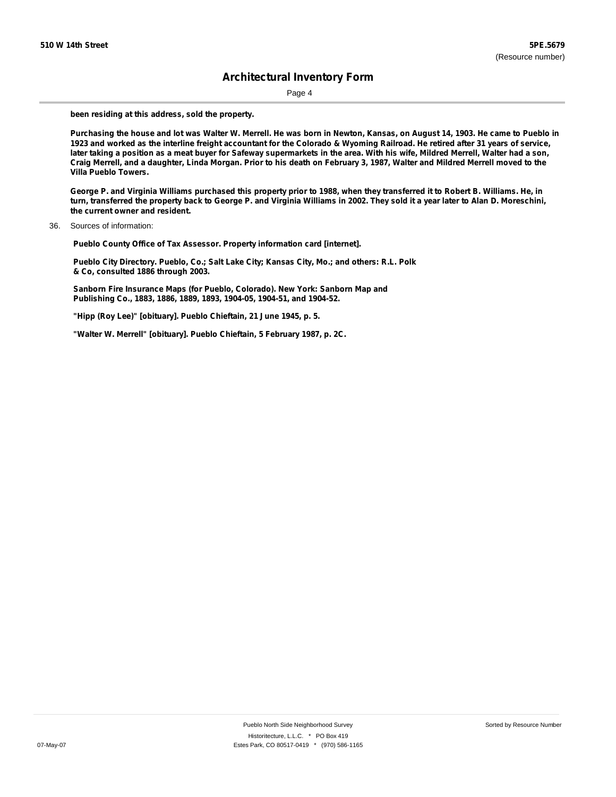Page 4

**been residing at this address, sold the property.**

Purchasing the house and lot was Walter W. Merrell. He was born in Newton, Kansas, on August 14, 1903. He came to Pueblo in 1923 and worked as the interline freight accountant for the Colorado & Wyoming Railroad. He retired after 31 years of service, later taking a position as a meat buyer for Safeway supermarkets in the area. With his wife, Mildred Merrell, Walter had a son, Craig Merrell, and a daughter, Linda Morgan. Prior to his death on February 3, 1987, Walter and Mildred Merrell moved to the **Villa Pueblo Towers.**

George P. and Virginia Williams purchased this property prior to 1988, when they transferred it to Robert B. Williams. He, in turn, transferred the property back to George P. and Virginia Williams in 2002. They sold it a year later to Alan D. Moreschini, **the current owner and resident.**

**Pueblo County Office of Tax Assessor. Property information card [internet].**

**Pueblo City Directory. Pueblo, Co.; Salt Lake City; Kansas City, Mo.; and others: R.L. Polk & Co, consulted 1886 through 2003.**

**Sanborn Fire Insurance Maps (for Pueblo, Colorado). New York: Sanborn Map and Publishing Co., 1883, 1886, 1889, 1893, 1904-05, 1904-51, and 1904-52.**

**"Hipp (Roy Lee)" [obituary]. Pueblo Chieftain, 21 June 1945, p. 5.**

**"Walter W. Merrell" [obituary]. Pueblo Chieftain, 5 February 1987, p. 2C.**

<sup>36.</sup> Sources of information: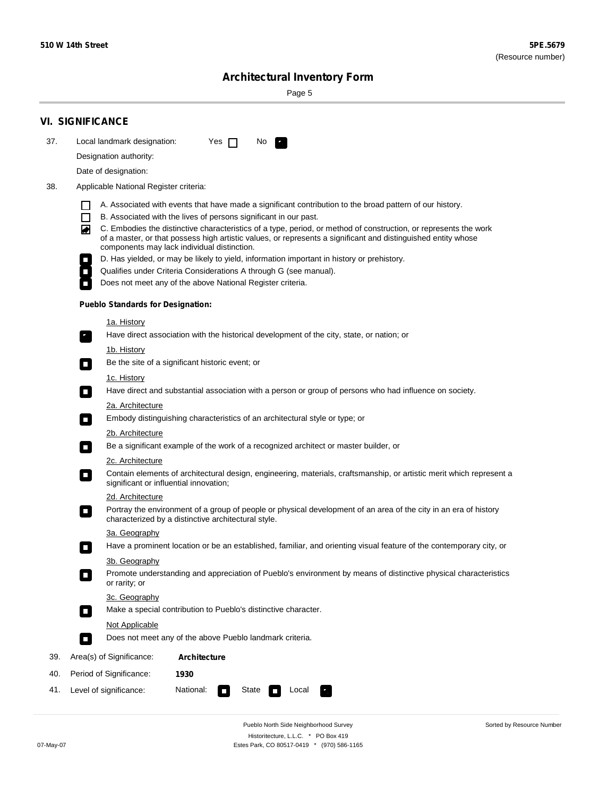٠

Sorted by Resource Number

# **Architectural Inventory Form**

Page 5

|     | <b>VI. SIGNIFICANCE</b>                                                                                                                                                                                                                                                               |  |  |  |  |
|-----|---------------------------------------------------------------------------------------------------------------------------------------------------------------------------------------------------------------------------------------------------------------------------------------|--|--|--|--|
| 37. | Local landmark designation:<br>Yes $\Box$<br>No.<br>$\mathbf{F}$                                                                                                                                                                                                                      |  |  |  |  |
|     | Designation authority:                                                                                                                                                                                                                                                                |  |  |  |  |
|     | Date of designation:                                                                                                                                                                                                                                                                  |  |  |  |  |
| 38. | Applicable National Register criteria:                                                                                                                                                                                                                                                |  |  |  |  |
|     | A. Associated with events that have made a significant contribution to the broad pattern of our history.                                                                                                                                                                              |  |  |  |  |
|     | $\Box$<br>B. Associated with the lives of persons significant in our past.                                                                                                                                                                                                            |  |  |  |  |
|     | C. Embodies the distinctive characteristics of a type, period, or method of construction, or represents the work<br>◙<br>of a master, or that possess high artistic values, or represents a significant and distinguished entity whose<br>components may lack individual distinction. |  |  |  |  |
|     | D. Has yielded, or may be likely to yield, information important in history or prehistory.                                                                                                                                                                                            |  |  |  |  |
|     | Qualifies under Criteria Considerations A through G (see manual).                                                                                                                                                                                                                     |  |  |  |  |
|     | Does not meet any of the above National Register criteria.                                                                                                                                                                                                                            |  |  |  |  |
|     | <b>Pueblo Standards for Designation:</b>                                                                                                                                                                                                                                              |  |  |  |  |
|     | <u>1a. History</u>                                                                                                                                                                                                                                                                    |  |  |  |  |
|     | Have direct association with the historical development of the city, state, or nation; or<br>$\overline{\phantom{a}}$ .                                                                                                                                                               |  |  |  |  |
|     | <u>1b. History</u>                                                                                                                                                                                                                                                                    |  |  |  |  |
|     | Be the site of a significant historic event; or<br>$\Box$                                                                                                                                                                                                                             |  |  |  |  |
|     | 1c. History                                                                                                                                                                                                                                                                           |  |  |  |  |
|     | Have direct and substantial association with a person or group of persons who had influence on society.<br>$\Box$                                                                                                                                                                     |  |  |  |  |
|     | 2a. Architecture                                                                                                                                                                                                                                                                      |  |  |  |  |
|     | Embody distinguishing characteristics of an architectural style or type; or<br>$\Box$                                                                                                                                                                                                 |  |  |  |  |
|     | 2b. Architecture                                                                                                                                                                                                                                                                      |  |  |  |  |
|     | Be a significant example of the work of a recognized architect or master builder, or<br>$\mathcal{L}_{\mathcal{A}}$                                                                                                                                                                   |  |  |  |  |
|     | 2c. Architecture                                                                                                                                                                                                                                                                      |  |  |  |  |
|     | Contain elements of architectural design, engineering, materials, craftsmanship, or artistic merit which represent a<br>О<br>significant or influential innovation;                                                                                                                   |  |  |  |  |
|     | 2d. Architecture                                                                                                                                                                                                                                                                      |  |  |  |  |
|     | Portray the environment of a group of people or physical development of an area of the city in an era of history<br>О<br>characterized by a distinctive architectural style.                                                                                                          |  |  |  |  |
|     | 3a. Geography                                                                                                                                                                                                                                                                         |  |  |  |  |
|     | Have a prominent location or be an established, familiar, and orienting visual feature of the contemporary city, or                                                                                                                                                                   |  |  |  |  |
|     | 3b. Geography<br>Promote understanding and appreciation of Pueblo's environment by means of distinctive physical characteristics<br>or rarity; or                                                                                                                                     |  |  |  |  |
|     | 3c. Geography                                                                                                                                                                                                                                                                         |  |  |  |  |
|     | Make a special contribution to Pueblo's distinctive character.<br>$\Box$                                                                                                                                                                                                              |  |  |  |  |
|     | Not Applicable                                                                                                                                                                                                                                                                        |  |  |  |  |
|     | Does not meet any of the above Pueblo landmark criteria.<br>П                                                                                                                                                                                                                         |  |  |  |  |
| 39. | Area(s) of Significance:<br><b>Architecture</b>                                                                                                                                                                                                                                       |  |  |  |  |
| 40. | Period of Significance:<br>1930                                                                                                                                                                                                                                                       |  |  |  |  |
| 41. | National:<br>Level of significance:<br>Local<br>State<br>$\Box$                                                                                                                                                                                                                       |  |  |  |  |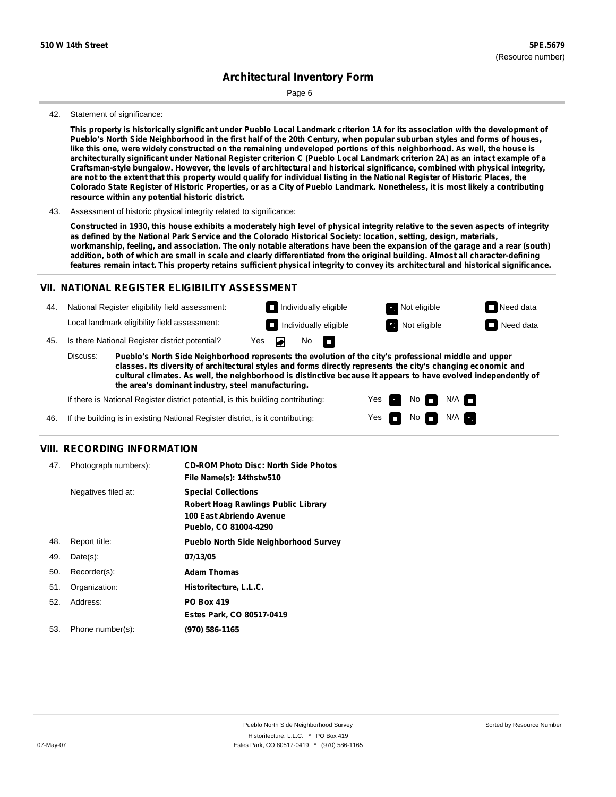Page 6

#### 42. Statement of significance:

This property is historically significant under Pueblo Local Landmark criterion 1A for its association with the development of Pueblo's North Side Neighborhood in the first half of the 20th Century, when popular suburban styles and forms of houses, like this one, were widely constructed on the remaining undeveloped portions of this neighborhood. As well, the house is architecturally significant under National Register criterion C (Pueblo Local Landmark criterion 2A) as an intact example of a **Craftsman-style bungalow. However, the levels of architectural and historical significance, combined with physical integrity,** are not to the extent that this property would qualify for individual listing in the National Register of Historic Places, the Colorado State Register of Historic Properties, or as a City of Pueblo Landmark. Nonetheless, it is most likely a contributing **resource within any potential historic district.**

#### 43. Assessment of historic physical integrity related to significance:

Constructed in 1930, this house exhibits a moderately high level of physical integrity relative to the seven aspects of integrity as defined by the National Park Service and the Colorado Historical Society: location, setting, design, materials, workmanship, feeling, and association. The only notable alterations have been the expansion of the garage and a rear (south) addition, both of which are small in scale and clearly differentiated from the original building. Almost all character-defining features remain intact. This property retains sufficient physical integrity to convey its architectural and historical significance.

#### **VII. NATIONAL REGISTER ELIGIBILITY ASSESSMENT**

44. National Register eligibility field assessment: Local landmark eligibility field assessment:

45. Is there National Register district potential? Yes No **Individually eligible Not eligible** Not eligible **Need data** 

**Pueblo's North Side Neighborhood represents the evolution of the city's professional middle and upper classes. Its diversity of architectural styles and forms directly represents the city's changing economic and cultural climates. As well, the neighborhood is distinctive because it appears to have evolved independently of the area's dominant industry, steel manufacturing.** Discuss:

m

Yes Yes No

**Individually eligible Not eligible** Not eligible **Need data** 

 $No$   $\neg$   $N/A$ 

 $N/A$ 

If there is National Register district potential, is this building contributing:

If the building is in existing National Register district, is it contributing: 46.

### **VIII. RECORDING INFORMATION**

| 47. | Photograph numbers): | <b>CD-ROM Photo Disc: North Side Photos</b><br>File Name(s): 14thstw510                                                       |
|-----|----------------------|-------------------------------------------------------------------------------------------------------------------------------|
|     | Negatives filed at:  | <b>Special Collections</b><br><b>Robert Hoag Rawlings Public Library</b><br>100 East Abriendo Avenue<br>Pueblo, CO 81004-4290 |
| 48. | Report title:        | <b>Pueblo North Side Neighborhood Survey</b>                                                                                  |
| 49. | $Date(s)$ :          | 07/13/05                                                                                                                      |
| 50. | Recorder(s):         | <b>Adam Thomas</b>                                                                                                            |
| 51. | Organization:        | Historitecture, L.L.C.                                                                                                        |
| 52. | Address:             | <b>PO Box 419</b>                                                                                                             |
|     |                      | Estes Park, CO 80517-0419                                                                                                     |
| 53. | Phone number(s):     | (970) 586-1165                                                                                                                |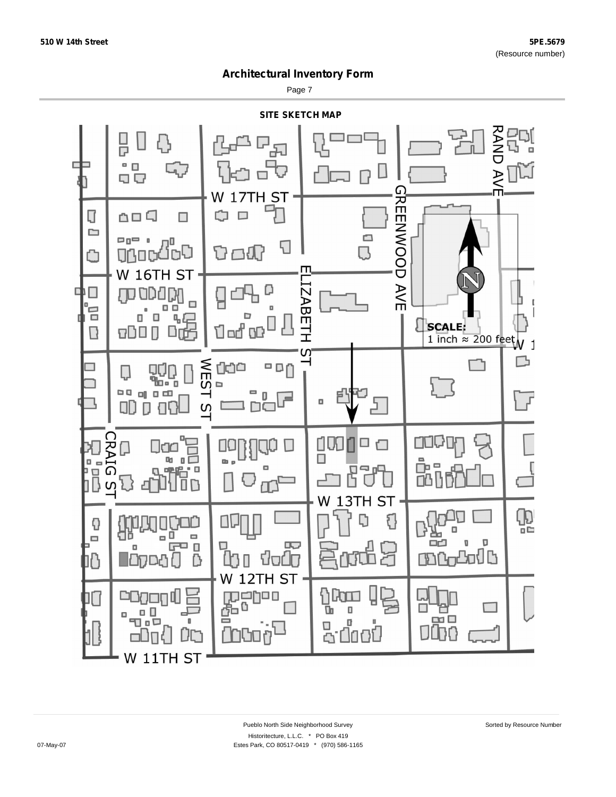Page 7